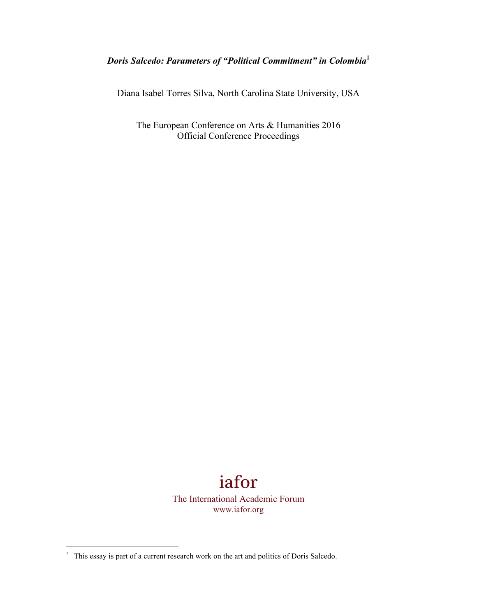## *Doris Salcedo: Parameters of "Political Commitment" in Colombia***<sup>1</sup>**

Diana Isabel Torres Silva, North Carolina State University, USA

The European Conference on Arts & Humanities 2016 Official Conference Proceedings

> iafor The International Academic Forum www.iafor.org

<u> 1989 - Johann Barn, mars ann an t-Amhain an t-Amhain an t-Amhain an t-Amhain an t-Amhain an t-Amhain an t-Amh</u>

 $1$  This essay is part of a current research work on the art and politics of Doris Salcedo.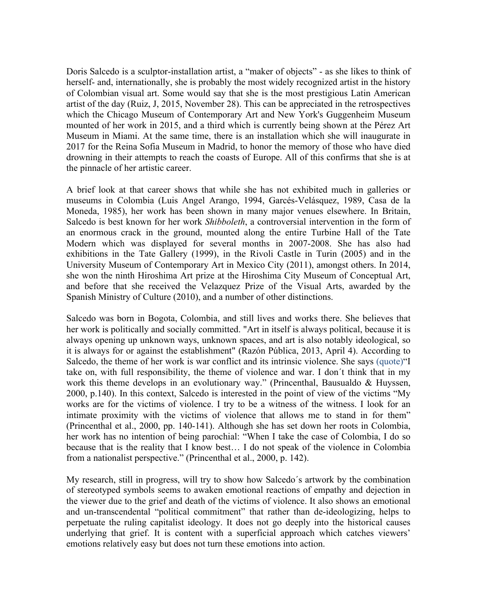Doris Salcedo is a sculptor-installation artist, a "maker of objects" - as she likes to think of herself- and, internationally, she is probably the most widely recognized artist in the history of Colombian visual art. Some would say that she is the most prestigious Latin American artist of the day (Ruiz, J, 2015, November 28). This can be appreciated in the retrospectives which the Chicago Museum of Contemporary Art and New York's Guggenheim Museum mounted of her work in 2015, and a third which is currently being shown at the Pérez Art Museum in Miami. At the same time, there is an installation which she will inaugurate in 2017 for the Reina Sofia Museum in Madrid, to honor the memory of those who have died drowning in their attempts to reach the coasts of Europe. All of this confirms that she is at the pinnacle of her artistic career.

A brief look at that career shows that while she has not exhibited much in galleries or museums in Colombia (Luis Angel Arango, 1994, Garcés-Velásquez, 1989, Casa de la Moneda, 1985), her work has been shown in many major venues elsewhere. In Britain, Salcedo is best known for her work *Shibboleth*, a controversial intervention in the form of an enormous crack in the ground, mounted along the entire Turbine Hall of the Tate Modern which was displayed for several months in 2007-2008. She has also had exhibitions in the Tate Gallery (1999), in the Rivoli Castle in Turin (2005) and in the University Museum of Contemporary Art in Mexico City (2011), amongst others. In 2014, she won the ninth Hiroshima Art prize at the Hiroshima City Museum of Conceptual Art, and before that she received the Velazquez Prize of the Visual Arts, awarded by the Spanish Ministry of Culture (2010), and a number of other distinctions.

Salcedo was born in Bogota, Colombia, and still lives and works there. She believes that her work is politically and socially committed. "Art in itself is always political, because it is always opening up unknown ways, unknown spaces, and art is also notably ideological, so it is always for or against the establishment" (Razón Pública, 2013, April 4). According to Salcedo, the theme of her work is war conflict and its intrinsic violence. She says (quote)"I take on, with full responsibility, the theme of violence and war. I don´t think that in my work this theme develops in an evolutionary way." (Princenthal, Bausualdo & Huyssen, 2000, p.140). In this context, Salcedo is interested in the point of view of the victims "My works are for the victims of violence. I try to be a witness of the witness. I look for an intimate proximity with the victims of violence that allows me to stand in for them" (Princenthal et al., 2000, pp. 140-141). Although she has set down her roots in Colombia, her work has no intention of being parochial: "When I take the case of Colombia, I do so because that is the reality that I know best… I do not speak of the violence in Colombia from a nationalist perspective." (Princenthal et al., 2000, p. 142).

My research, still in progress, will try to show how Salcedo´s artwork by the combination of stereotyped symbols seems to awaken emotional reactions of empathy and dejection in the viewer due to the grief and death of the victims of violence. It also shows an emotional and un-transcendental "political commitment" that rather than de-ideologizing, helps to perpetuate the ruling capitalist ideology. It does not go deeply into the historical causes underlying that grief. It is content with a superficial approach which catches viewers' emotions relatively easy but does not turn these emotions into action.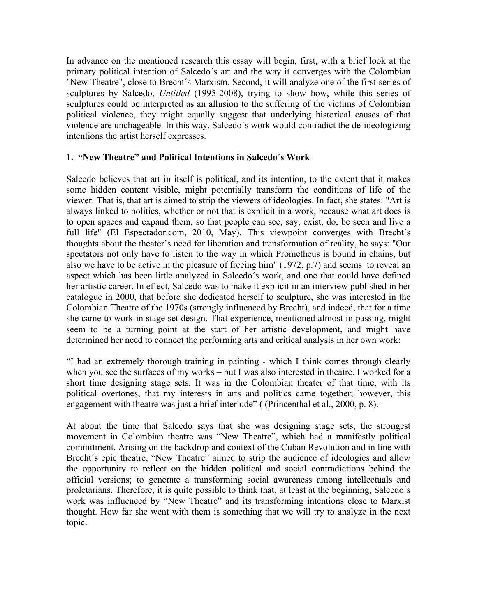In advance on the mentioned research this essay will begin, first, with a brief look at the primary political intention of Salcedo´s art and the way it converges with the Colombian "New Theatre", close to Brecht´s Marxism. Second, it will analyze one of the first series of sculptures by Salcedo, *Untitled* (1995-2008), trying to show how, while this series of sculptures could be interpreted as an allusion to the suffering of the victims of Colombian political violence, they might equally suggest that underlying historical causes of that violence are unchageable. In this way, Salcedo´s work would contradict the de-ideologizing intentions the artist herself expresses.

## **1. "New Theatre" and Political Intentions in Salcedo´s Work**

Salcedo believes that art in itself is political, and its intention, to the extent that it makes some hidden content visible, might potentially transform the conditions of life of the viewer. That is, that art is aimed to strip the viewers of ideologies. In fact, she states: "Art is always linked to politics, whether or not that is explicit in a work, because what art does is to open spaces and expand them, so that people can see, say, exist, do, be seen and live a full life" (El Espectador.com, 2010, May). This viewpoint converges with Brecht's thoughts about the theater's need for liberation and transformation of reality, he says: "Our spectators not only have to listen to the way in which Prometheus is bound in chains, but also we have to be active in the pleasure of freeing him" (1972, p.7) and seems to reveal an aspect which has been little analyzed in Salcedo´s work, and one that could have defined her artistic career. In effect, Salcedo was to make it explicit in an interview published in her catalogue in 2000, that before she dedicated herself to sculpture, she was interested in the Colombian Theatre of the 1970s (strongly influenced by Brecht), and indeed, that for a time she came to work in stage set design. That experience, mentioned almost in passing, might seem to be a turning point at the start of her artistic development, and might have determined her need to connect the performing arts and critical analysis in her own work:

"I had an extremely thorough training in painting - which I think comes through clearly when you see the surfaces of my works – but I was also interested in theatre. I worked for a short time designing stage sets. It was in the Colombian theater of that time, with its political overtones, that my interests in arts and politics came together; however, this engagement with theatre was just a brief interlude" ((Princenthal et al., 2000, p. 8).

At about the time that Salcedo says that she was designing stage sets, the strongest movement in Colombian theatre was "New Theatre", which had a manifestly political commitment. Arising on the backdrop and context of the Cuban Revolution and in line with Brecht's epic theatre, "New Theatre" aimed to strip the audience of ideologies and allow the opportunity to reflect on the hidden political and social contradictions behind the official versions; to generate a transforming social awareness among intellectuals and proletarians. Therefore, it is quite possible to think that, at least at the beginning, Salcedo´s work was influenced by "New Theatre" and its transforming intentions close to Marxist thought. How far she went with them is something that we will try to analyze in the next topic.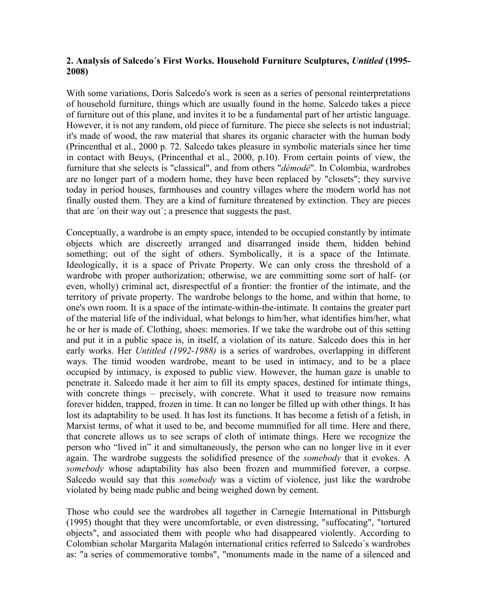## **2. Analysis of Salcedo´s First Works. Household Furniture Sculptures,** *Untitled* **(1995- 2008)**

With some variations, Doris Salcedo's work is seen as a series of personal reinterpretations of household furniture, things which are usually found in the home. Salcedo takes a piece of furniture out of this plane, and invites it to be a fundamental part of her artistic language. However, it is not any random, old piece of furniture. The piece she selects is not industrial; it's made of wood, the raw material that shares its organic character with the human body (Princenthal et al., 2000 p. 72. Salcedo takes pleasure in symbolic materials since her time in contact with Beuys, (Princenthal et al., 2000, p.10). From certain points of view, the furniture that she selects is "classical", and from others "*démodé*". In Colombia, wardrobes are no longer part of a modern home, they have been replaced by "closets"; they survive today in period houses, farmhouses and country villages where the modern world has not finally ousted them. They are a kind of furniture threatened by extinction. They are pieces that are ´on their way out´; a presence that suggests the past.

Conceptually, a wardrobe is an empty space, intended to be occupied constantly by intimate objects which are discreetly arranged and disarranged inside them, hidden behind something; out of the sight of others. Symbolically, it is a space of the Intimate. Ideologically, it is a space of Private Property. We can only cross the threshold of a wardrobe with proper authorization; otherwise, we are committing some sort of half- (or even, wholly) criminal act, disrespectful of a frontier: the frontier of the intimate, and the territory of private property. The wardrobe belongs to the home, and within that home, to one's own room. It is a space of the intimate-within-the-intimate. It contains the greater part of the material life of the individual, what belongs to him/her, what identifies him/her, what he or her is made of. Clothing, shoes: memories. If we take the wardrobe out of this setting and put it in a public space is, in itself, a violation of its nature. Salcedo does this in her early works. Her *Untitled (1992-1988)* is a series of wardrobes, overlapping in different ways. The timid wooden wardrobe, meant to be used in intimacy, and to be a place occupied by intimacy, is exposed to public view. However, the human gaze is unable to penetrate it. Salcedo made it her aim to fill its empty spaces, destined for intimate things, with concrete things – precisely, with concrete. What it used to treasure now remains forever hidden, trapped, frozen in time. It can no longer be filled up with other things. It has lost its adaptability to be used. It has lost its functions. It has become a fetish of a fetish, in Marxist terms, of what it used to be, and become mummified for all time. Here and there, that concrete allows us to see scraps of cloth of intimate things. Here we recognize the person who "lived in" it and simultaneously, the person who can no longer live in it ever again. The wardrobe suggests the solidified presence of the *somebody* that it evokes. A *somebody* whose adaptability has also been frozen and mummified forever, a corpse. Salcedo would say that this *somebody* was a victim of violence, just like the wardrobe violated by being made public and being weighed down by cement.

Those who could see the wardrobes all together in Carnegie International in Pittsburgh (1995) thought that they were uncomfortable, or even distressing, "suffocating", "tortured objects", and associated them with people who had disappeared violently. According to Colombian scholar Margarita Malagón international critics referred to Salcedo´s wardrobes as: "a series of commemorative tombs", "monuments made in the name of a silenced and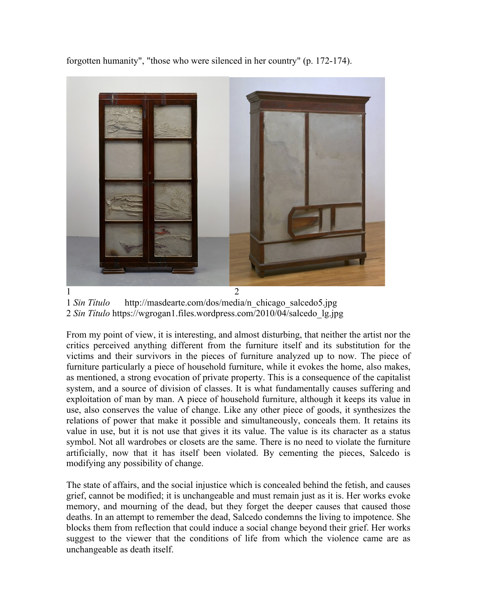forgotten humanity", "those who were silenced in her country" (p. 172-174).



1 *Sin Título* http://masdearte.com/dos/media/n\_chicago\_salcedo5.jpg 2 *Sin Título* https://wgrogan1.files.wordpress.com/2010/04/salcedo\_lg.jpg

From my point of view, it is interesting, and almost disturbing, that neither the artist nor the critics perceived anything different from the furniture itself and its substitution for the victims and their survivors in the pieces of furniture analyzed up to now. The piece of furniture particularly a piece of household furniture, while it evokes the home, also makes, as mentioned, a strong evocation of private property. This is a consequence of the capitalist system, and a source of division of classes. It is what fundamentally causes suffering and exploitation of man by man. A piece of household furniture, although it keeps its value in use, also conserves the value of change. Like any other piece of goods, it synthesizes the relations of power that make it possible and simultaneously, conceals them. It retains its value in use, but it is not use that gives it its value. The value is its character as a status symbol. Not all wardrobes or closets are the same. There is no need to violate the furniture artificially, now that it has itself been violated. By cementing the pieces, Salcedo is modifying any possibility of change.

The state of affairs, and the social injustice which is concealed behind the fetish, and causes grief, cannot be modified; it is unchangeable and must remain just as it is. Her works evoke memory, and mourning of the dead, but they forget the deeper causes that caused those deaths. In an attempt to remember the dead, Salcedo condemns the living to impotence. She blocks them from reflection that could induce a social change beyond their grief. Her works suggest to the viewer that the conditions of life from which the violence came are as unchangeable as death itself.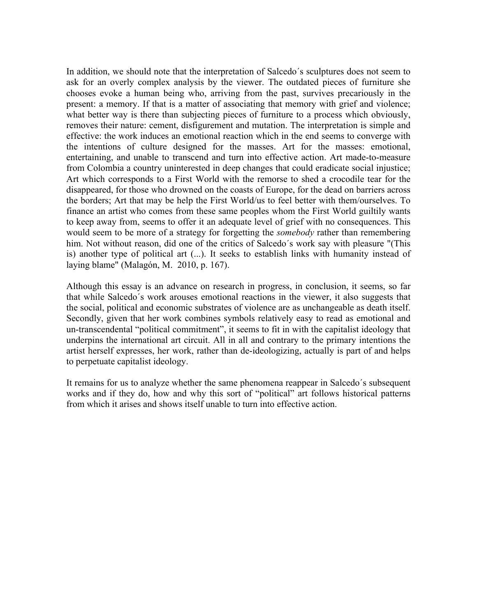In addition, we should note that the interpretation of Salcedo´s sculptures does not seem to ask for an overly complex analysis by the viewer. The outdated pieces of furniture she chooses evoke a human being who, arriving from the past, survives precariously in the present: a memory. If that is a matter of associating that memory with grief and violence; what better way is there than subjecting pieces of furniture to a process which obviously, removes their nature: cement, disfigurement and mutation. The interpretation is simple and effective: the work induces an emotional reaction which in the end seems to converge with the intentions of culture designed for the masses. Art for the masses: emotional, entertaining, and unable to transcend and turn into effective action. Art made-to-measure from Colombia a country uninterested in deep changes that could eradicate social injustice; Art which corresponds to a First World with the remorse to shed a crocodile tear for the disappeared, for those who drowned on the coasts of Europe, for the dead on barriers across the borders; Art that may be help the First World/us to feel better with them/ourselves. To finance an artist who comes from these same peoples whom the First World guiltily wants to keep away from, seems to offer it an adequate level of grief with no consequences. This would seem to be more of a strategy for forgetting the *somebody* rather than remembering him. Not without reason, did one of the critics of Salcedo´s work say with pleasure "(This is) another type of political art (...). It seeks to establish links with humanity instead of laying blame" (Malagón, M. 2010, p. 167).

Although this essay is an advance on research in progress, in conclusion, it seems, so far that while Salcedo´s work arouses emotional reactions in the viewer, it also suggests that the social, political and economic substrates of violence are as unchangeable as death itself. Secondly, given that her work combines symbols relatively easy to read as emotional and un-transcendental "political commitment", it seems to fit in with the capitalist ideology that underpins the international art circuit. All in all and contrary to the primary intentions the artist herself expresses, her work, rather than de-ideologizing, actually is part of and helps to perpetuate capitalist ideology.

It remains for us to analyze whether the same phenomena reappear in Salcedo´s subsequent works and if they do, how and why this sort of "political" art follows historical patterns from which it arises and shows itself unable to turn into effective action.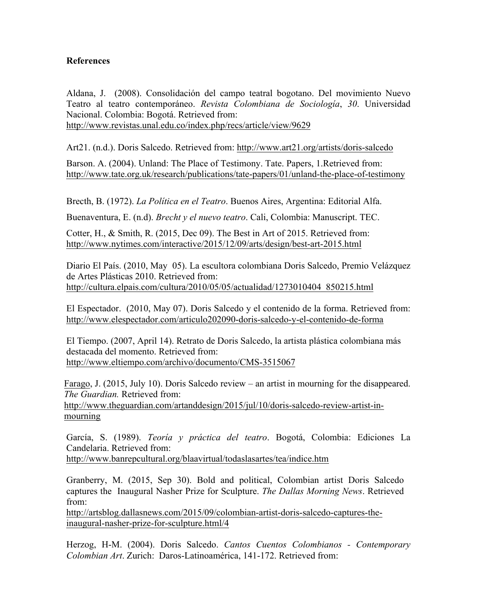## **References**

Aldana, J. (2008). Consolidación del campo teatral bogotano. Del movimiento Nuevo Teatro al teatro contemporáneo. *Revista Colombiana de Sociología*, *30*. Universidad Nacional. Colombia: Bogotá. Retrieved from:

http://www.revistas.unal.edu.co/index.php/recs/article/view/9629

Art21. (n.d.). Doris Salcedo. Retrieved from: http://www.art21.org/artists/doris-salcedo

Barson. A. (2004). Unland: The Place of Testimony. Tate. Papers, 1.Retrieved from: http://www.tate.org.uk/research/publications/tate-papers/01/unland-the-place-of-testimony

Brecth, B. (1972). *La Política en el Teatro*. Buenos Aires, Argentina: Editorial Alfa.

Buenaventura, E. (n.d). *Brecht y el nuevo teatro*. Cali, Colombia: Manuscript. TEC.

Cotter, H., & Smith, R. (2015, Dec 09). The Best in Art of 2015. Retrieved from: http://www.nytimes.com/interactive/2015/12/09/arts/design/best-art-2015.html

Diario El País. (2010, May 05). La escultora colombiana Doris Salcedo, Premio Velázquez de Artes Plásticas 2010. Retrieved from: http://cultura.elpais.com/cultura/2010/05/05/actualidad/1273010404\_850215.html

El Espectador. (2010, May 07). Doris Salcedo y el contenido de la forma. Retrieved from: http://www.elespectador.com/articulo202090-doris-salcedo-y-el-contenido-de-forma

El Tiempo. (2007, April 14). Retrato de Doris Salcedo, la artista plástica colombiana más destacada del momento. Retrieved from: http://www.eltiempo.com/archivo/documento/CMS-3515067

Farago, J. (2015, July 10). Doris Salcedo review – an artist in mourning for the disappeared. *The Guardian.* Retrieved from:

http://www.theguardian.com/artanddesign/2015/jul/10/doris-salcedo-review-artist-inmourning

García, S. (1989). *Teoría y práctica del teatro*. Bogotá, Colombia: Ediciones La Candelaria. Retrieved from:

http://www.banrepcultural.org/blaavirtual/todaslasartes/tea/indice.htm

Granberry, M. (2015, Sep 30). Bold and political, Colombian artist Doris Salcedo captures the Inaugural Nasher Prize for Sculpture. *The Dallas Morning News*. Retrieved from:

http://artsblog.dallasnews.com/2015/09/colombian-artist-doris-salcedo-captures-theinaugural-nasher-prize-for-sculpture.html/4

Herzog, H-M. (2004). Doris Salcedo. *Cantos Cuentos Colombianos - Contemporary Colombian Art*. Zurich: Daros-Latinoamérica, 141-172. Retrieved from: